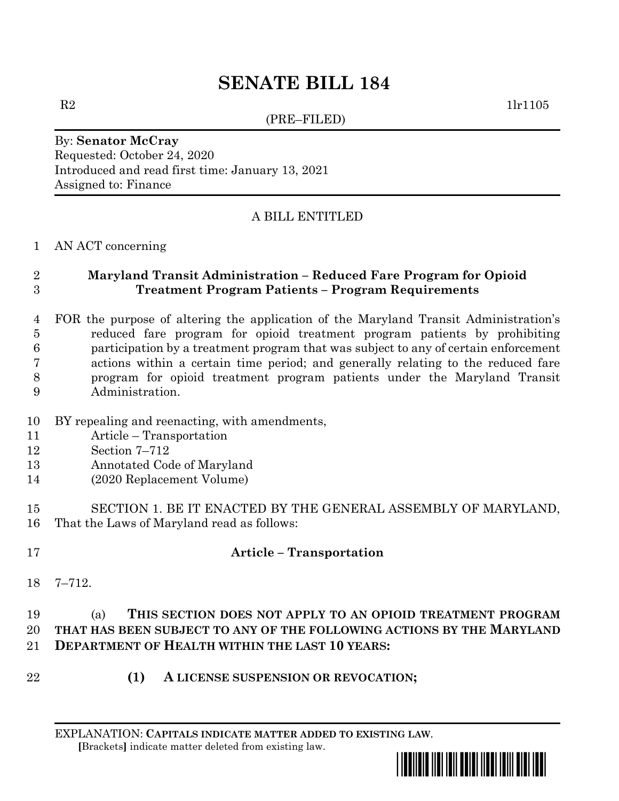# **SENATE BILL 184**

(PRE–FILED)

 $R2$  1lr1105

#### By: **Senator McCray** Requested: October 24, 2020 Introduced and read first time: January 13, 2021 Assigned to: Finance

## A BILL ENTITLED

#### AN ACT concerning

## **Maryland Transit Administration – Reduced Fare Program for Opioid Treatment Program Patients – Program Requirements**

- FOR the purpose of altering the application of the Maryland Transit Administration's reduced fare program for opioid treatment program patients by prohibiting participation by a treatment program that was subject to any of certain enforcement actions within a certain time period; and generally relating to the reduced fare program for opioid treatment program patients under the Maryland Transit Administration.
- BY repealing and reenacting, with amendments,
- Article Transportation
- Section 7–712
- Annotated Code of Maryland
- (2020 Replacement Volume)
- SECTION 1. BE IT ENACTED BY THE GENERAL ASSEMBLY OF MARYLAND, That the Laws of Maryland read as follows:
- 

# **Article – Transportation**

7–712.

## (a) **THIS SECTION DOES NOT APPLY TO AN OPIOID TREATMENT PROGRAM THAT HAS BEEN SUBJECT TO ANY OF THE FOLLOWING ACTIONS BY THE MARYLAND DEPARTMENT OF HEALTH WITHIN THE LAST 10 YEARS:**

- 
- **(1) A LICENSE SUSPENSION OR REVOCATION;**

EXPLANATION: **CAPITALS INDICATE MATTER ADDED TO EXISTING LAW**.  **[**Brackets**]** indicate matter deleted from existing law.